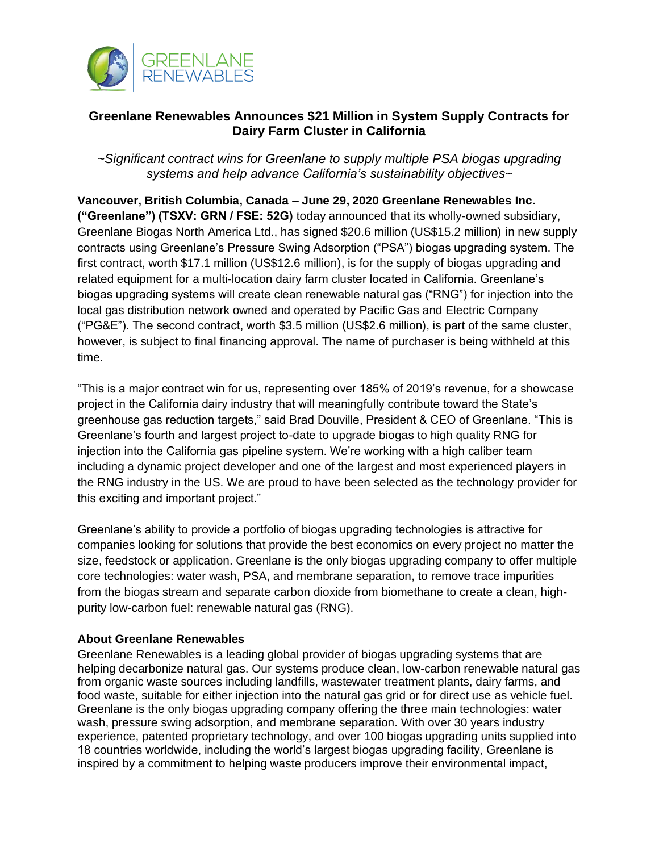

## **Greenlane Renewables Announces \$21 Million in System Supply Contracts for Dairy Farm Cluster in California**

*~Significant contract wins for Greenlane to supply multiple PSA biogas upgrading systems and help advance California's sustainability objectives~*

**Vancouver, British Columbia, Canada – June 29, 2020 Greenlane Renewables Inc. ("Greenlane") (TSXV: GRN / FSE: 52G)** today announced that its wholly-owned subsidiary, Greenlane Biogas North America Ltd., has signed \$20.6 million (US\$15.2 million) in new supply contracts using Greenlane's Pressure Swing Adsorption ("PSA") biogas upgrading system. The first contract, worth \$17.1 million (US\$12.6 million), is for the supply of biogas upgrading and related equipment for a multi-location dairy farm cluster located in California. Greenlane's biogas upgrading systems will create clean renewable natural gas ("RNG") for injection into the local gas distribution network owned and operated by Pacific Gas and Electric Company ("PG&E"). The second contract, worth \$3.5 million (US\$2.6 million), is part of the same cluster, however, is subject to final financing approval. The name of purchaser is being withheld at this time.

"This is a major contract win for us, representing over 185% of 2019's revenue, for a showcase project in the California dairy industry that will meaningfully contribute toward the State's greenhouse gas reduction targets," said Brad Douville, President & CEO of Greenlane. "This is Greenlane's fourth and largest project to-date to upgrade biogas to high quality RNG for injection into the California gas pipeline system. We're working with a high caliber team including a dynamic project developer and one of the largest and most experienced players in the RNG industry in the US. We are proud to have been selected as the technology provider for this exciting and important project."

Greenlane's ability to provide a portfolio of biogas upgrading technologies is attractive for companies looking for solutions that provide the best economics on every project no matter the size, feedstock or application. Greenlane is the only biogas upgrading company to offer multiple core technologies: water wash, PSA, and membrane separation, to remove trace impurities from the biogas stream and separate carbon dioxide from biomethane to create a clean, highpurity low-carbon fuel: renewable natural gas (RNG).

## **About Greenlane Renewables**

Greenlane Renewables is a leading global provider of biogas upgrading systems that are helping decarbonize natural gas. Our systems produce clean, low-carbon renewable natural gas from organic waste sources including landfills, wastewater treatment plants, dairy farms, and food waste, suitable for either injection into the natural gas grid or for direct use as vehicle fuel. Greenlane is the only biogas upgrading company offering the three main technologies: water wash, pressure swing adsorption, and membrane separation. With over 30 years industry experience, patented proprietary technology, and over 100 biogas upgrading units supplied into 18 countries worldwide, including the world's largest biogas upgrading facility, Greenlane is inspired by a commitment to helping waste producers improve their environmental impact,